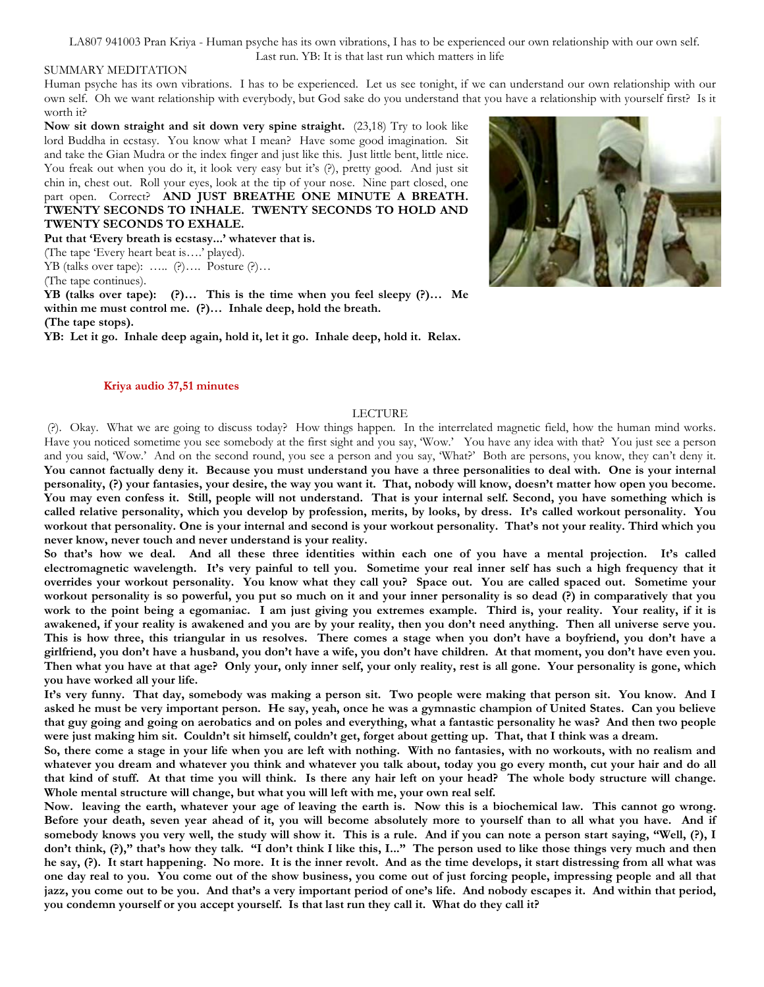LA807 941003 Pran Kriya - Human psyche has its own vibrations, I has to be experienced our own relationship with our own self. Last run. YB: It is that last run which matters in life

## SUMMARY MEDITATION

Human psyche has its own vibrations. I has to be experienced. Let us see tonight, if we can understand our own relationship with our own self. Oh we want relationship with everybody, but God sake do you understand that you have a relationship with yourself first? Is it worth it?

**Now sit down straight and sit down very spine straight.** (23,18) Try to look like lord Buddha in ecstasy. You know what I mean? Have some good imagination. Sit and take the Gian Mudra or the index finger and just like this. Just little bent, little nice. You freak out when you do it, it look very easy but it's  $(\cdot)$ , pretty good. And just sit chin in, chest out. Roll your eyes, look at the tip of your nose. Nine part closed, one part open. Correct? AND JUST BREATHE ONE MINUTE A BREATH. **TWENTY SECONDS TO INHALE. TWENTY SECONDS TO HOLD AND TWENTY SECONDS TO EXHALE.**

**Put that 'Every breath is ecstasy...' whatever that is.**

(The tape 'Every heart beat is….' played).

YB (talks over tape): ….. (?)…. Posture (?)…

(The tape continues).

**YB (talks over tape): (?)… This is the time when you feel sleepy (?)… Me within me must control me. (?)… Inhale deep, hold the breath. (The tape stops).**

**YB: Let it go. Inhale deep again, hold it, let it go. Inhale deep, hold it. Relax.**

## **Kriya audio 37,51 minutes**

## LECTURE

(?). Okay. What we are going to discuss today? How things happen. In the interrelated magnetic field, how the human mind works. Have you noticed sometime you see somebody at the first sight and you say, 'Wow.' You have any idea with that? You just see a person and you said, 'Wow.' And on the second round, you see a person and you say, 'What?' Both are persons, you know, they can't deny it. **You cannot factually deny it. Because you must understand you have a three personalities to deal with. One is your internal personality, (?) your fantasies, your desire, the way you want it. That, nobody will know, doesn't matter how open you become. You may even confess it. Still, people will not understand. That is your internal self. Second, you have something which is called relative personality, which you develop by profession, merits, by looks, by dress. It's called workout personality. You workout that personality. One is your internal and second is your workout personality. That's not your reality. Third which you never know, never touch and never understand is your reality.**

**So that's how we deal. And all these three identities within each one of you have a mental projection. It's called electromagnetic wavelength. It's very painful to tell you. Sometime your real inner self has such a high frequency that it overrides your workout personality. You know what they call you? Space out. You are called spaced out. Sometime your workout personality is so powerful, you put so much on it and your inner personality is so dead (?) in comparatively that you work to the point being a egomaniac. I am just giving you extremes example. Third is, your reality. Your reality, if it is awakened, if your reality is awakened and you are by your reality, then you don't need anything. Then all universe serve you. This is how three, this triangular in us resolves. There comes a stage when you don't have a boyfriend, you don't have a girlfriend, you don't have a husband, you don't have a wife, you don't have children. At that moment, you don't have even you. Then what you have at that age? Only your, only inner self, your only reality, rest is all gone. Your personality is gone, which you have worked all your life.** 

**It's very funny. That day, somebody was making a person sit. Two people were making that person sit. You know. And I asked he must be very important person. He say, yeah, once he was a gymnastic champion of United States. Can you believe that guy going and going on aerobatics and on poles and everything, what a fantastic personality he was? And then two people were just making him sit. Couldn't sit himself, couldn't get, forget about getting up. That, that I think was a dream.**

**So, there come a stage in your life when you are left with nothing. With no fantasies, with no workouts, with no realism and whatever you dream and whatever you think and whatever you talk about, today you go every month, cut your hair and do all that kind of stuff. At that time you will think. Is there any hair left on your head? The whole body structure will change. Whole mental structure will change, but what you will left with me, your own real self.**

**Now. leaving the earth, whatever your age of leaving the earth is. Now this is a biochemical law. This cannot go wrong. Before your death, seven year ahead of it, you will become absolutely more to yourself than to all what you have. And if somebody knows you very well, the study will show it. This is a rule. And if you can note a person start saying, "Well, (?), I don't think, (?)," that's how they talk. "I don't think I like this, I..." The person used to like those things very much and then he say, (?). It start happening. No more. It is the inner revolt. And as the time develops, it start distressing from all what was one day real to you. You come out of the show business, you come out of just forcing people, impressing people and all that jazz, you come out to be you. And that's a very important period of one's life. And nobody escapes it. And within that period, you condemn yourself or you accept yourself. Is that last run they call it. What do they call it?**

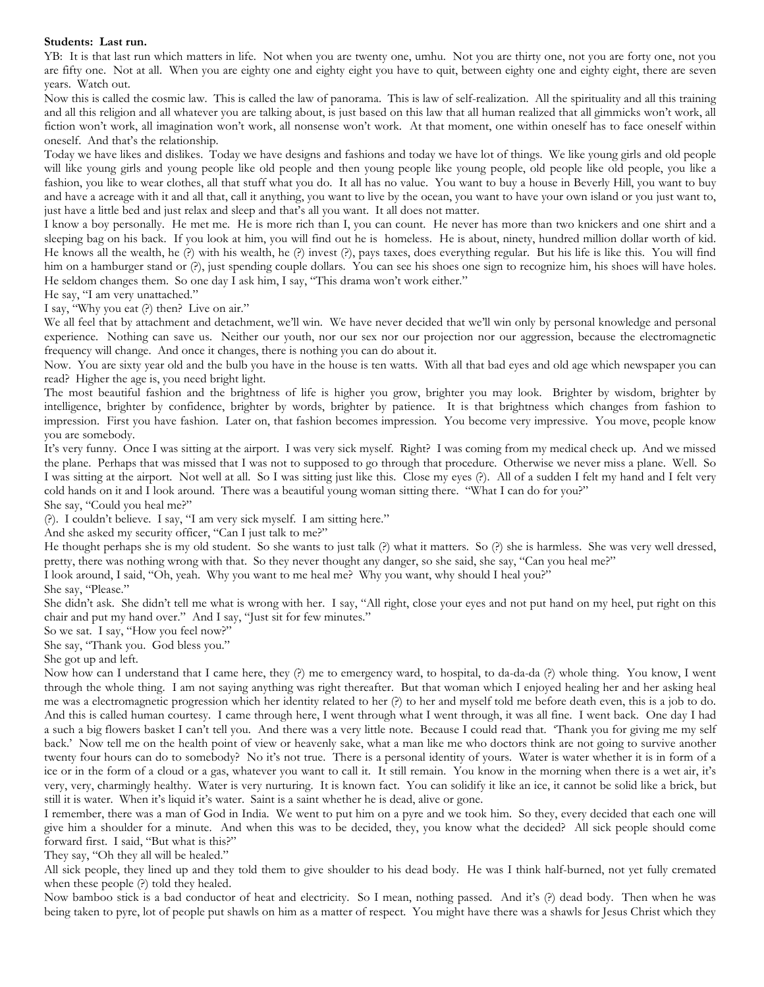## **Students: Last run.**

YB: It is that last run which matters in life. Not when you are twenty one, umhu. Not you are thirty one, not you are forty one, not you are fifty one. Not at all. When you are eighty one and eighty eight you have to quit, between eighty one and eighty eight, there are seven years. Watch out.

Now this is called the cosmic law. This is called the law of panorama. This is law of self-realization. All the spirituality and all this training and all this religion and all whatever you are talking about, is just based on this law that all human realized that all gimmicks won't work, all fiction won't work, all imagination won't work, all nonsense won't work. At that moment, one within oneself has to face oneself within oneself. And that's the relationship.

Today we have likes and dislikes. Today we have designs and fashions and today we have lot of things. We like young girls and old people will like young girls and young people like old people and then young people like young people, old people like old people, you like a fashion, you like to wear clothes, all that stuff what you do. It all has no value. You want to buy a house in Beverly Hill, you want to buy and have a acreage with it and all that, call it anything, you want to live by the ocean, you want to have your own island or you just want to, just have a little bed and just relax and sleep and that's all you want. It all does not matter.

I know a boy personally. He met me. He is more rich than I, you can count. He never has more than two knickers and one shirt and a sleeping bag on his back. If you look at him, you will find out he is homeless. He is about, ninety, hundred million dollar worth of kid. He knows all the wealth, he (?) with his wealth, he (?) invest (?), pays taxes, does everything regular. But his life is like this. You will find him on a hamburger stand or (?), just spending couple dollars. You can see his shoes one sign to recognize him, his shoes will have holes. He seldom changes them. So one day I ask him, I say, "This drama won't work either."

He say, "I am very unattached."

I say, "Why you eat (?) then? Live on air."

We all feel that by attachment and detachment, we'll win. We have never decided that we'll win only by personal knowledge and personal experience. Nothing can save us. Neither our youth, nor our sex nor our projection nor our aggression, because the electromagnetic frequency will change. And once it changes, there is nothing you can do about it.

Now. You are sixty year old and the bulb you have in the house is ten watts. With all that bad eyes and old age which newspaper you can read? Higher the age is, you need bright light.

The most beautiful fashion and the brightness of life is higher you grow, brighter you may look. Brighter by wisdom, brighter by intelligence, brighter by confidence, brighter by words, brighter by patience. It is that brightness which changes from fashion to impression. First you have fashion. Later on, that fashion becomes impression. You become very impressive. You move, people know you are somebody.

It's very funny. Once I was sitting at the airport. I was very sick myself. Right? I was coming from my medical check up. And we missed the plane. Perhaps that was missed that I was not to supposed to go through that procedure. Otherwise we never miss a plane. Well. So I was sitting at the airport. Not well at all. So I was sitting just like this. Close my eyes (?). All of a sudden I felt my hand and I felt very cold hands on it and I look around. There was a beautiful young woman sitting there. "What I can do for you?"

She say, "Could you heal me?"

(?). I couldn't believe. I say, "I am very sick myself. I am sitting here."

And she asked my security officer, "Can I just talk to me?"

He thought perhaps she is my old student. So she wants to just talk (?) what it matters. So (?) she is harmless. She was very well dressed, pretty, there was nothing wrong with that. So they never thought any danger, so she said, she say, "Can you heal me?"

I look around, I said, "Oh, yeah. Why you want to me heal me? Why you want, why should I heal you?"

She say, "Please."

She didn't ask. She didn't tell me what is wrong with her. I say, "All right, close your eyes and not put hand on my heel, put right on this chair and put my hand over." And I say, "Just sit for few minutes."

So we sat. I say, "How you feel now?"

She say, "Thank you. God bless you."

She got up and left.

Now how can I understand that I came here, they (?) me to emergency ward, to hospital, to da-da-da (?) whole thing. You know, I went through the whole thing. I am not saying anything was right thereafter. But that woman which I enjoyed healing her and her asking heal me was a electromagnetic progression which her identity related to her (?) to her and myself told me before death even, this is a job to do. And this is called human courtesy. I came through here, I went through what I went through, it was all fine. I went back. One day I had a such a big flowers basket I can't tell you. And there was a very little note. Because I could read that. 'Thank you for giving me my self back.' Now tell me on the health point of view or heavenly sake, what a man like me who doctors think are not going to survive another twenty four hours can do to somebody? No it's not true. There is a personal identity of yours. Water is water whether it is in form of a ice or in the form of a cloud or a gas, whatever you want to call it. It still remain. You know in the morning when there is a wet air, it's very, very, charmingly healthy. Water is very nurturing. It is known fact. You can solidify it like an ice, it cannot be solid like a brick, but still it is water. When it's liquid it's water. Saint is a saint whether he is dead, alive or gone.

I remember, there was a man of God in India. We went to put him on a pyre and we took him. So they, every decided that each one will give him a shoulder for a minute. And when this was to be decided, they, you know what the decided? All sick people should come forward first. I said, "But what is this?"

They say, "Oh they all will be healed."

All sick people, they lined up and they told them to give shoulder to his dead body. He was I think half-burned, not yet fully cremated when these people (?) told they healed.

Now bamboo stick is a bad conductor of heat and electricity. So I mean, nothing passed. And it's (?) dead body. Then when he was being taken to pyre, lot of people put shawls on him as a matter of respect. You might have there was a shawls for Jesus Christ which they